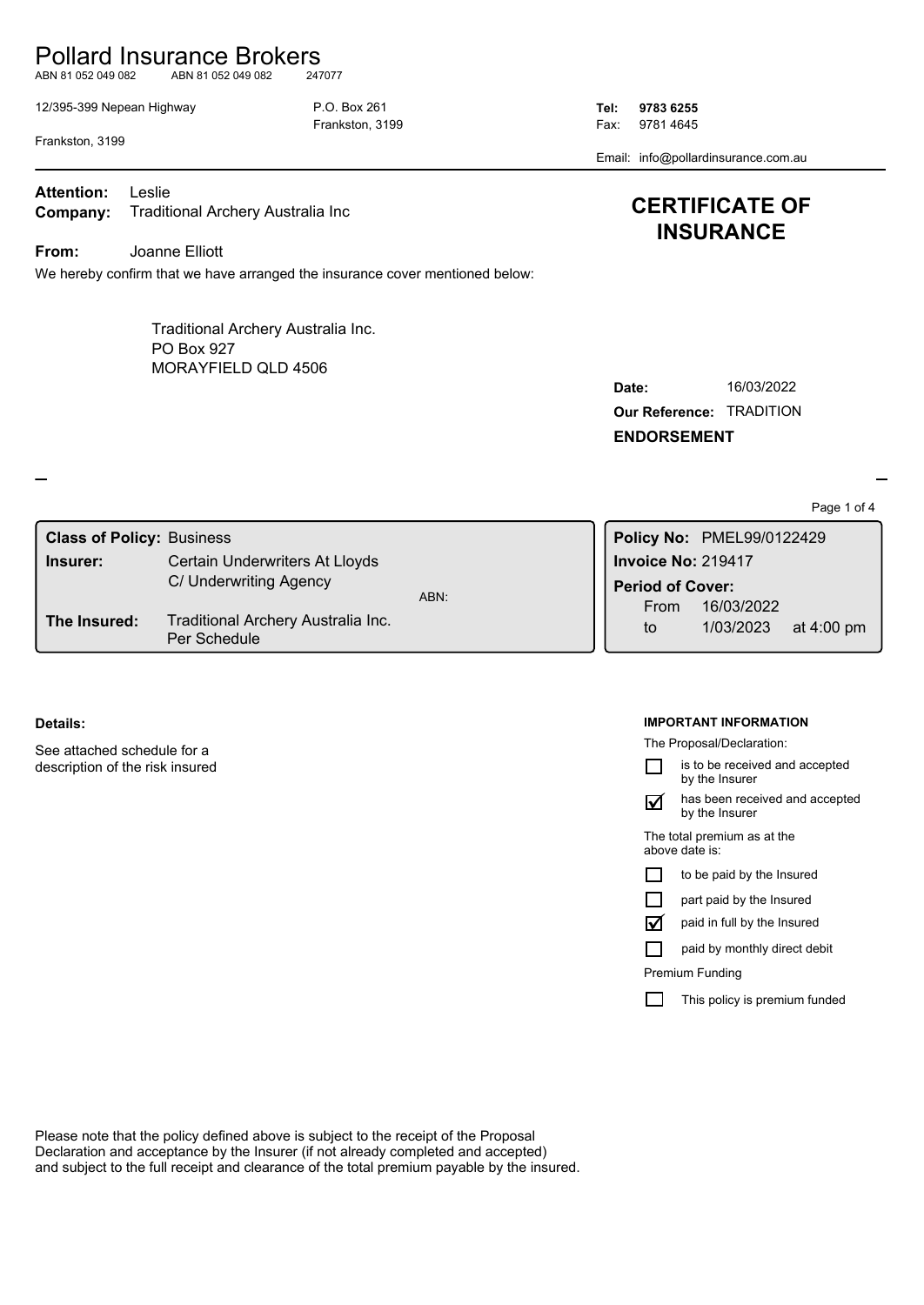## Pollard Insurance Brokers

ABN 81 052 049 082 ABN 81 052 049 082 247077

12/395-399 Nepean Highway P.O. Box 261 **Tel: 9783 6255**

Frankston, 3199 **Fax: 9781 4645** 

Email: info@pollardinsurance.com.au

**CERTIFICATE OF INSURANCE**

Frankston, 3199

**Company:** Traditional Archery Australia Inc **Attention:** Leslie

**From:** Joanne Elliott

We hereby confirm that we have arranged the insurance cover mentioned below:

MORAYFIELD QLD 4506 Traditional Archery Australia Inc. PO Box 927

| Date:                           | 16/03/2022 |
|---------------------------------|------------|
| <b>Our Reference: TRADITION</b> |            |

**ENDORSEMENT**

Page 1 of 4

| <b>Class of Policy: Business</b> |                                                    |      | Policy No: PMEL99/0122429       |            |                      |
|----------------------------------|----------------------------------------------------|------|---------------------------------|------------|----------------------|
| Insurer:                         | Certain Underwriters At Lloyds                     |      | <b>Invoice No: 219417</b>       |            |                      |
|                                  | C/ Underwriting Agency                             | ABN: | <b>Period of Cover:</b><br>From | 16/03/2022 |                      |
| The Insured:                     | Traditional Archery Australia Inc.<br>Per Schedule |      | to                              | 1/03/2023  | at $4:00 \text{ pm}$ |

#### **Details:**

See attached schedule for a description of the risk insured

#### **IMPORTANT INFORMATION**

The Proposal/Declaration:

is to be received and accepted П by the Insurer

has been received and accepted by the Insurer  $\triangledown$ 

The total premium as at the above date is:

|  |  |  |  | to be paid by the Insured |
|--|--|--|--|---------------------------|
|--|--|--|--|---------------------------|

|  |  | part paid by the Insured |
|--|--|--------------------------|
|  |  |                          |

paid in full by the Insured  $\triangledown$ 

paid by monthly direct debit П

Premium Funding

 $\Box$ This policy is premium funded

Please note that the policy defined above is subject to the receipt of the Proposal Declaration and acceptance by the Insurer (if not already completed and accepted) and subject to the full receipt and clearance of the total premium payable by the insured.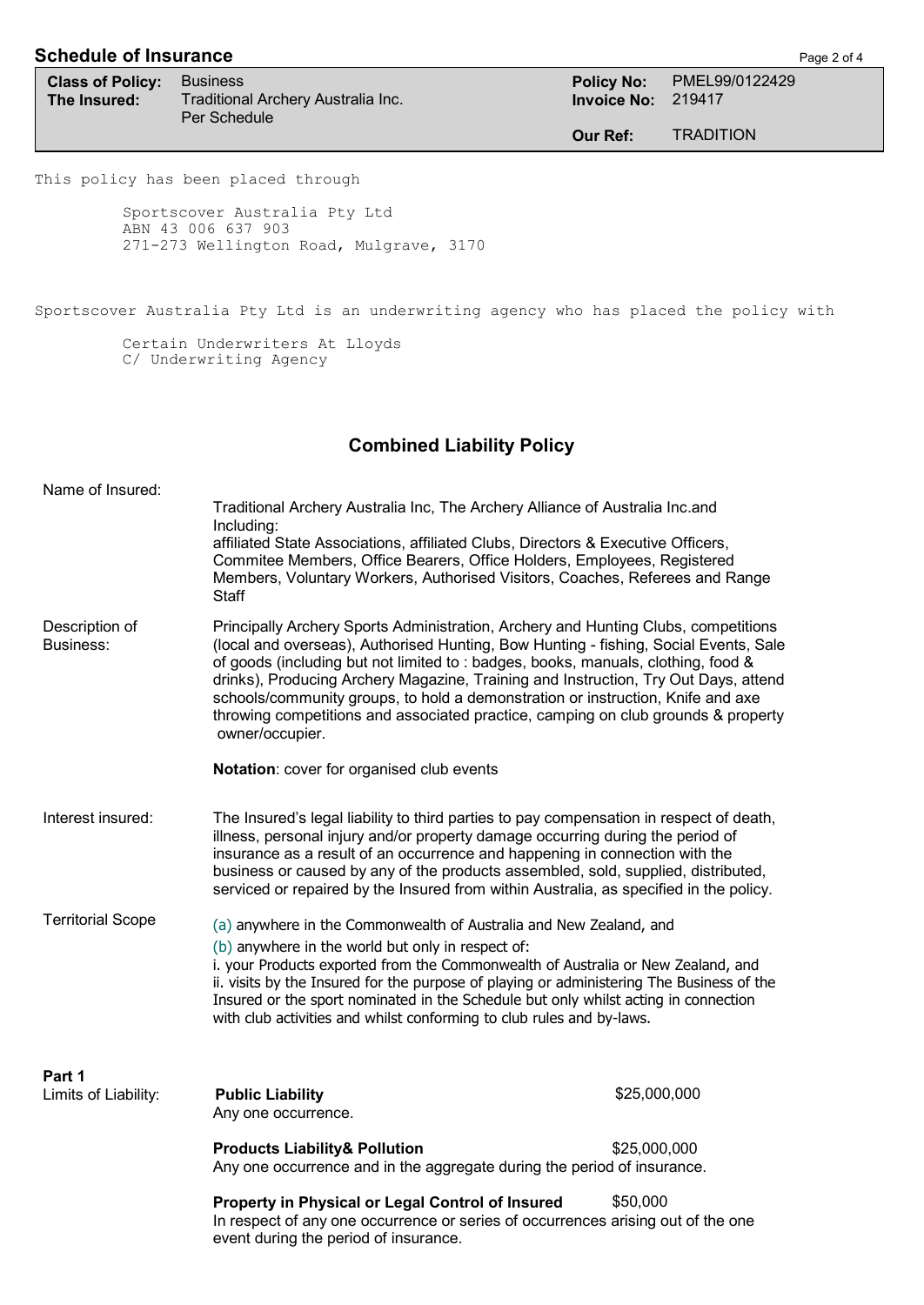## **Schedule of Insurance Page 2 of 4**

**Class of Policy:** Business **Policy:** Business **Policy No:** PMEL99/0122429<br> **The Insured:** Traditional Archery Australia Inc. **Physics 19417**<br> **Policy No:** 219417 **The Insured:** Traditional Archery Australia Inc. Per Schedule

**Invoice No:** 219417 **Our Ref:** TRADITION

This policy has been placed through

Sportscover Australia Pty Ltd ABN 43 006 637 903 271-273 Wellington Road, Mulgrave, 3170

Sportscover Australia Pty Ltd is an underwriting agency who has placed the policy with

Certain Underwriters At Lloyds C/ Underwriting Agency

## **Combined Liability Policy**

| Name of Insured:               | Traditional Archery Australia Inc, The Archery Alliance of Australia Inc.and<br>Including:<br>affiliated State Associations, affiliated Clubs, Directors & Executive Officers,<br>Commitee Members, Office Bearers, Office Holders, Employees, Registered<br>Members, Voluntary Workers, Authorised Visitors, Coaches, Referees and Range<br>Staff                                                                                                                                                                                                                                            |              |  |
|--------------------------------|-----------------------------------------------------------------------------------------------------------------------------------------------------------------------------------------------------------------------------------------------------------------------------------------------------------------------------------------------------------------------------------------------------------------------------------------------------------------------------------------------------------------------------------------------------------------------------------------------|--------------|--|
| Description of<br>Business:    | Principally Archery Sports Administration, Archery and Hunting Clubs, competitions<br>(local and overseas), Authorised Hunting, Bow Hunting - fishing, Social Events, Sale<br>of goods (including but not limited to: badges, books, manuals, clothing, food &<br>drinks), Producing Archery Magazine, Training and Instruction, Try Out Days, attend<br>schools/community groups, to hold a demonstration or instruction, Knife and axe<br>throwing competitions and associated practice, camping on club grounds & property<br>owner/occupier.<br>Notation: cover for organised club events |              |  |
|                                |                                                                                                                                                                                                                                                                                                                                                                                                                                                                                                                                                                                               |              |  |
| Interest insured:              | The Insured's legal liability to third parties to pay compensation in respect of death,<br>illness, personal injury and/or property damage occurring during the period of<br>insurance as a result of an occurrence and happening in connection with the<br>business or caused by any of the products assembled, sold, supplied, distributed,<br>serviced or repaired by the Insured from within Australia, as specified in the policy.                                                                                                                                                       |              |  |
| <b>Territorial Scope</b>       | (a) anywhere in the Commonwealth of Australia and New Zealand, and<br>(b) anywhere in the world but only in respect of:<br>i. your Products exported from the Commonwealth of Australia or New Zealand, and<br>ii. visits by the Insured for the purpose of playing or administering The Business of the<br>Insured or the sport nominated in the Schedule but only whilst acting in connection<br>with club activities and whilst conforming to club rules and by-laws.                                                                                                                      |              |  |
| Part 1<br>Limits of Liability: | <b>Public Liability</b><br>Any one occurrence.                                                                                                                                                                                                                                                                                                                                                                                                                                                                                                                                                | \$25,000,000 |  |
|                                | <b>Products Liability&amp; Pollution</b><br>Any one occurrence and in the aggregate during the period of insurance.                                                                                                                                                                                                                                                                                                                                                                                                                                                                           | \$25,000,000 |  |
|                                | Property in Physical or Legal Control of Insured<br>In respect of any one occurrence or series of occurrences arising out of the one<br>event during the period of insurance.                                                                                                                                                                                                                                                                                                                                                                                                                 | \$50,000     |  |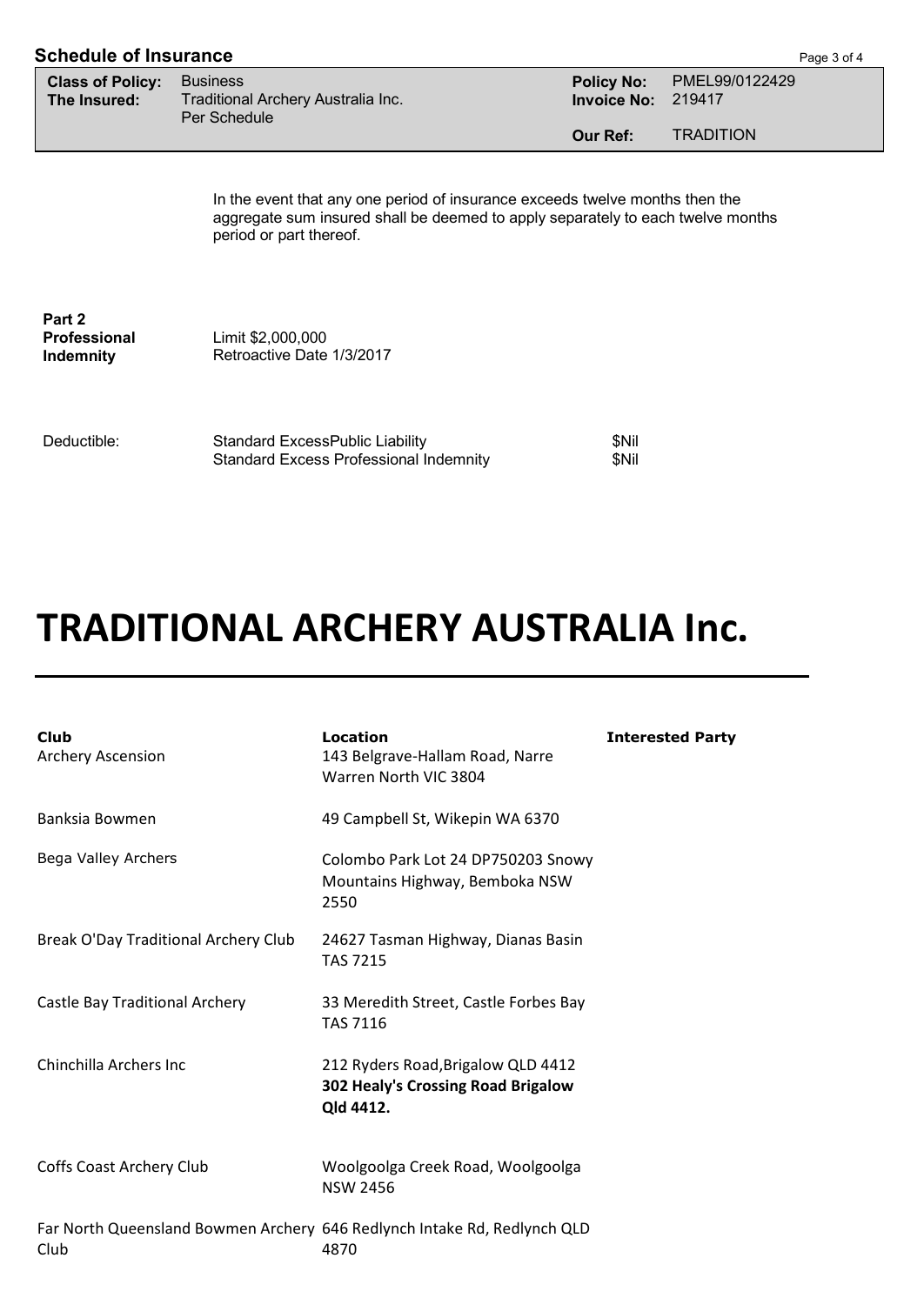| <b>Schedule of Insurance</b><br>Page 3 of 4 |                                                                       |                                         |                          |  |
|---------------------------------------------|-----------------------------------------------------------------------|-----------------------------------------|--------------------------|--|
| <b>Class of Policy:</b><br>The Insured:     | <b>Business</b><br>Traditional Archery Australia Inc.<br>Per Schedule | <b>Policy No:</b><br><b>Invoice No:</b> | PMEL99/0122429<br>219417 |  |
|                                             |                                                                       | Our Ref:                                | <b>TRADITION</b>         |  |
|                                             |                                                                       |                                         |                          |  |

In the event that any one period of insurance exceeds twelve months then the aggregate sum insured shall be deemed to apply separately to each twelve months period or part thereof.

**Part 2 Professional Indemnity**

Limit \$2,000,000 Retroactive Date 1/3/2017

Deductible:

| <b>Standard ExcessPublic Liability</b>        | \$Nil |
|-----------------------------------------------|-------|
| <b>Standard Excess Professional Indemnity</b> | \$Nil |

# **TRADITIONAL ARCHERY AUSTRALIA Inc.**

| <b>Club</b><br>Archery Ascension                                                 | Location<br>143 Belgrave-Hallam Road, Narre<br>Warren North VIC 3804                  | <b>Interested Party</b> |
|----------------------------------------------------------------------------------|---------------------------------------------------------------------------------------|-------------------------|
| Banksia Bowmen                                                                   | 49 Campbell St, Wikepin WA 6370                                                       |                         |
| Bega Valley Archers                                                              | Colombo Park Lot 24 DP750203 Snowy<br>Mountains Highway, Bemboka NSW<br>2550          |                         |
| Break O'Day Traditional Archery Club                                             | 24627 Tasman Highway, Dianas Basin<br><b>TAS 7215</b>                                 |                         |
| Castle Bay Traditional Archery                                                   | 33 Meredith Street, Castle Forbes Bay<br><b>TAS 7116</b>                              |                         |
| Chinchilla Archers Inc                                                           | 212 Ryders Road, Brigalow QLD 4412<br>302 Healy's Crossing Road Brigalow<br>Qld 4412. |                         |
| Coffs Coast Archery Club                                                         | Woolgoolga Creek Road, Woolgoolga<br><b>NSW 2456</b>                                  |                         |
| Far North Queensland Bowmen Archery 646 Redlynch Intake Rd, Redlynch QLD<br>Club | 4870                                                                                  |                         |